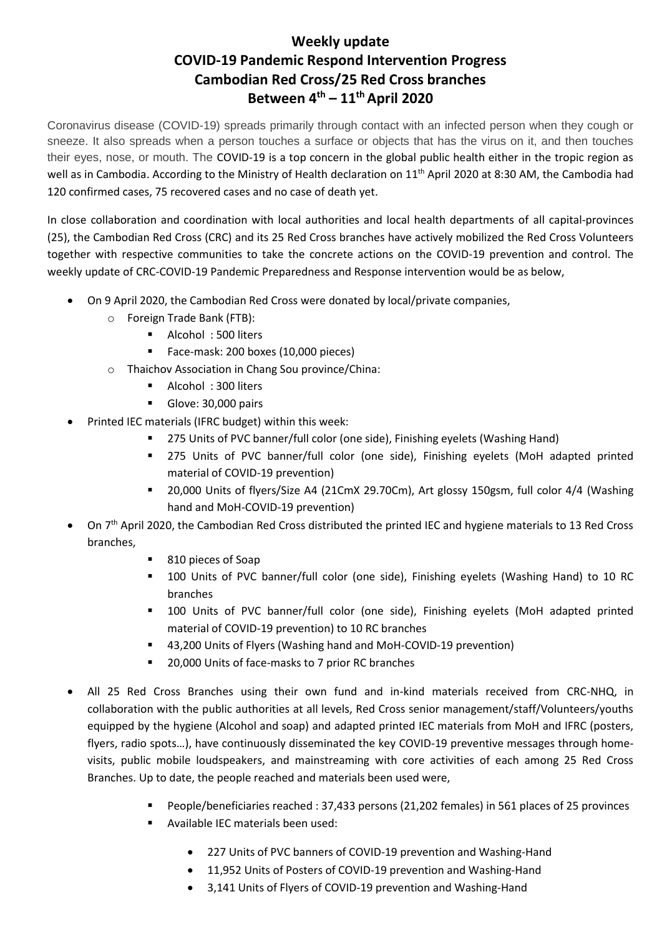## **Weekly update COVID-19 Pandemic Respond Intervention Progress Cambodian Red Cross/25 Red Cross branches Between 4 th – 11th April 2020**

Coronavirus disease (COVID-19) spreads primarily through contact with an infected person when they cough or sneeze. It also spreads when a person touches a surface or objects that has the virus on it, and then touches their eyes, nose, or mouth. The COVID-19 is a top concern in the global public health either in the tropic region as well as in Cambodia. According to the Ministry of Health declaration on 11<sup>th</sup> April 2020 at 8:30 AM, the Cambodia had 120 confirmed cases, 75 recovered cases and no case of death yet.

In close collaboration and coordination with local authorities and local health departments of all capital-provinces (25), the Cambodian Red Cross (CRC) and its 25 Red Cross branches have actively mobilized the Red Cross Volunteers together with respective communities to take the concrete actions on the COVID-19 prevention and control. The weekly update of CRC-COVID-19 Pandemic Preparedness and Response intervention would be as below,

- On 9 April 2020, the Cambodian Red Cross were donated by local/private companies,
	- o Foreign Trade Bank (FTB):
		- Alcohol: 500 liters
		- Face-mask: 200 boxes (10,000 pieces)
	- o Thaichov Association in Chang Sou province/China:
		- Alcohol: 300 liters
		- Glove: 30,000 pairs
- Printed IEC materials (IFRC budget) within this week:
	- 275 Units of PVC banner/full color (one side), Finishing eyelets (Washing Hand)
	- 275 Units of PVC banner/full color (one side), Finishing eyelets (MoH adapted printed material of COVID-19 prevention)
	- 20,000 Units of flyers/Size A4 (21CmX 29.70Cm), Art glossy 150gsm, full color 4/4 (Washing hand and MoH-COVID-19 prevention)
- On 7<sup>th</sup> April 2020, the Cambodian Red Cross distributed the printed IEC and hygiene materials to 13 Red Cross branches,
	- 810 pieces of Soap
	- 100 Units of PVC banner/full color (one side), Finishing eyelets (Washing Hand) to 10 RC branches
	- 100 Units of PVC banner/full color (one side), Finishing eyelets (MoH adapted printed material of COVID-19 prevention) to 10 RC branches
	- 43,200 Units of Flyers (Washing hand and MoH-COVID-19 prevention)
	- 20,000 Units of face-masks to 7 prior RC branches
- All 25 Red Cross Branches using their own fund and in-kind materials received from CRC-NHQ, in collaboration with the public authorities at all levels, Red Cross senior management/staff/Volunteers/youths equipped by the hygiene (Alcohol and soap) and adapted printed IEC materials from MoH and IFRC (posters, flyers, radio spots…), have continuously disseminated the key COVID-19 preventive messages through homevisits, public mobile loudspeakers, and mainstreaming with core activities of each among 25 Red Cross Branches. Up to date, the people reached and materials been used were,
	- People/beneficiaries reached : 37,433 persons (21,202 females) in 561 places of 25 provinces
	- Available IEC materials been used:
		- 227 Units of PVC banners of COVID-19 prevention and Washing-Hand
		- 11,952 Units of Posters of COVID-19 prevention and Washing-Hand
		- 3,141 Units of Flyers of COVID-19 prevention and Washing-Hand